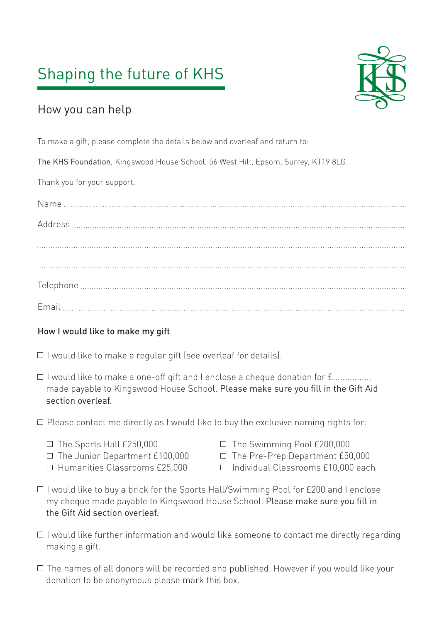# Shaping the future of KHS



### How you can help

To make a gift, please complete the details below and overleaf and return to:

The KHS Foundation, Kingswood House School, 56 West Hill, Epsom, Surrey, KT19 8LG.

Thank you for your support.

#### How I would like to make my gift

- $\Box$  I would like to make a regular gift (see overleaf for details).
- □ I would like to make a one-off gift and I enclose a cheque donation for f................ made payable to Kingswood House School. Please make sure you fill in the Gift Aid section overleaf.
- $\Box$  Please contact me directly as I would like to buy the exclusive naming rights for:
	-
	-
	-
	- $\Box$  The Sports Hall £250,000  $\Box$  The Swimming Pool £200,000
	- $\Box$  The Junior Department £100,000  $\Box$  The Pre-Prep Department £50,000
	- Humanities Classrooms £25,000 Individual Classrooms £10,000 each
- $\Box$  I would like to buy a brick for the Sports Hall/Swimming Pool for £200 and I enclose my cheque made payable to Kingswood House School. Please make sure you fill in the Gift Aid section overleaf.
- $\Box$  I would like further information and would like someone to contact me directly regarding making a gift.
- $\Box$  The names of all donors will be recorded and published. However if you would like your donation to be anonymous please mark this box.